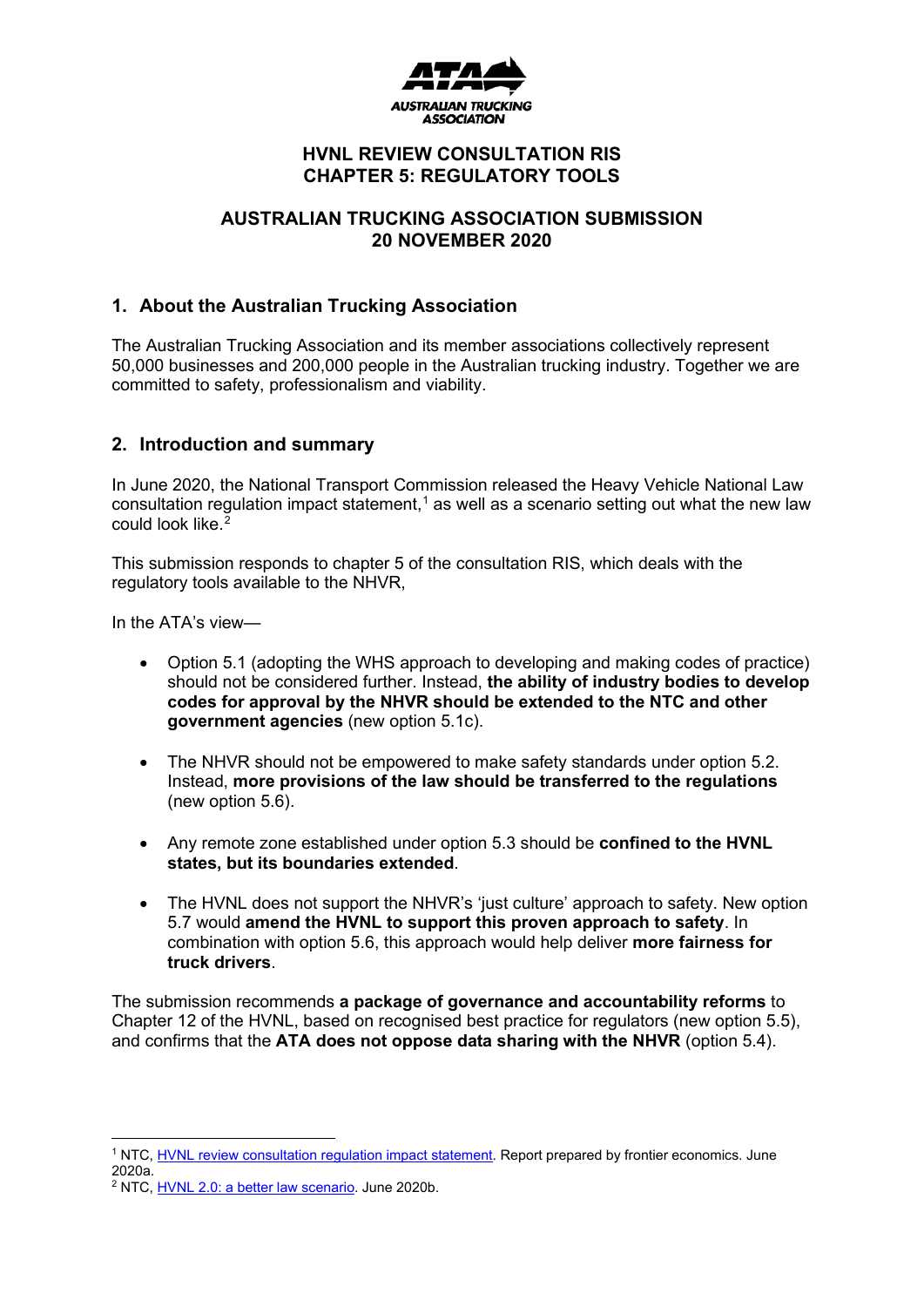

# **HVNL REVIEW CONSULTATION RIS CHAPTER 5: REGULATORY TOOLS**

# **AUSTRALIAN TRUCKING ASSOCIATION SUBMISSION 20 NOVEMBER 2020**

# **1. About the Australian Trucking Association**

The Australian Trucking Association and its member associations collectively represent 50,000 businesses and 200,000 people in the Australian trucking industry. Together we are committed to safety, professionalism and viability.

# **2. Introduction and summary**

In June 2020, the National Transport Commission released the Heavy Vehicle National Law consultation regulation impact statement, [1](#page-0-0) as well as a scenario setting out what the new law could look like.<sup>[2](#page-0-1)</sup>

This submission responds to chapter 5 of the consultation RIS, which deals with the regulatory tools available to the NHVR,

In the ATA's view—

- Option 5.1 (adopting the WHS approach to developing and making codes of practice) should not be considered further. Instead, **the ability of industry bodies to develop codes for approval by the NHVR should be extended to the NTC and other government agencies** (new option 5.1c).
- The NHVR should not be empowered to make safety standards under option 5.2. Instead, **more provisions of the law should be transferred to the regulations**  (new option 5.6).
- Any remote zone established under option 5.3 should be **confined to the HVNL states, but its boundaries extended**.
- The HVNL does not support the NHVR's 'just culture' approach to safety. New option 5.7 would **amend the HVNL to support this proven approach to safety**. In combination with option 5.6, this approach would help deliver **more fairness for truck drivers**.

The submission recommends **a package of governance and accountability reforms** to Chapter 12 of the HVNL, based on recognised best practice for regulators (new option 5.5), and confirms that the **ATA does not oppose data sharing with the NHVR** (option 5.4).

<span id="page-0-0"></span><sup>1</sup> NTC, [HVNL review consultation regulation impact statement.](https://www.hvnlreview.ntc.gov.au/download_file/view/130/1) Report prepared by frontier economics. June 2020a.

<span id="page-0-1"></span><sup>2</sup> NTC, [HVNL 2.0: a better law scenario.](https://s3.ap-southeast-2.amazonaws.com/hdp.au.prod.app.ntc-hvlawreview.files/6715/9340/9298/HVNL-2.0.pdf) June 2020b.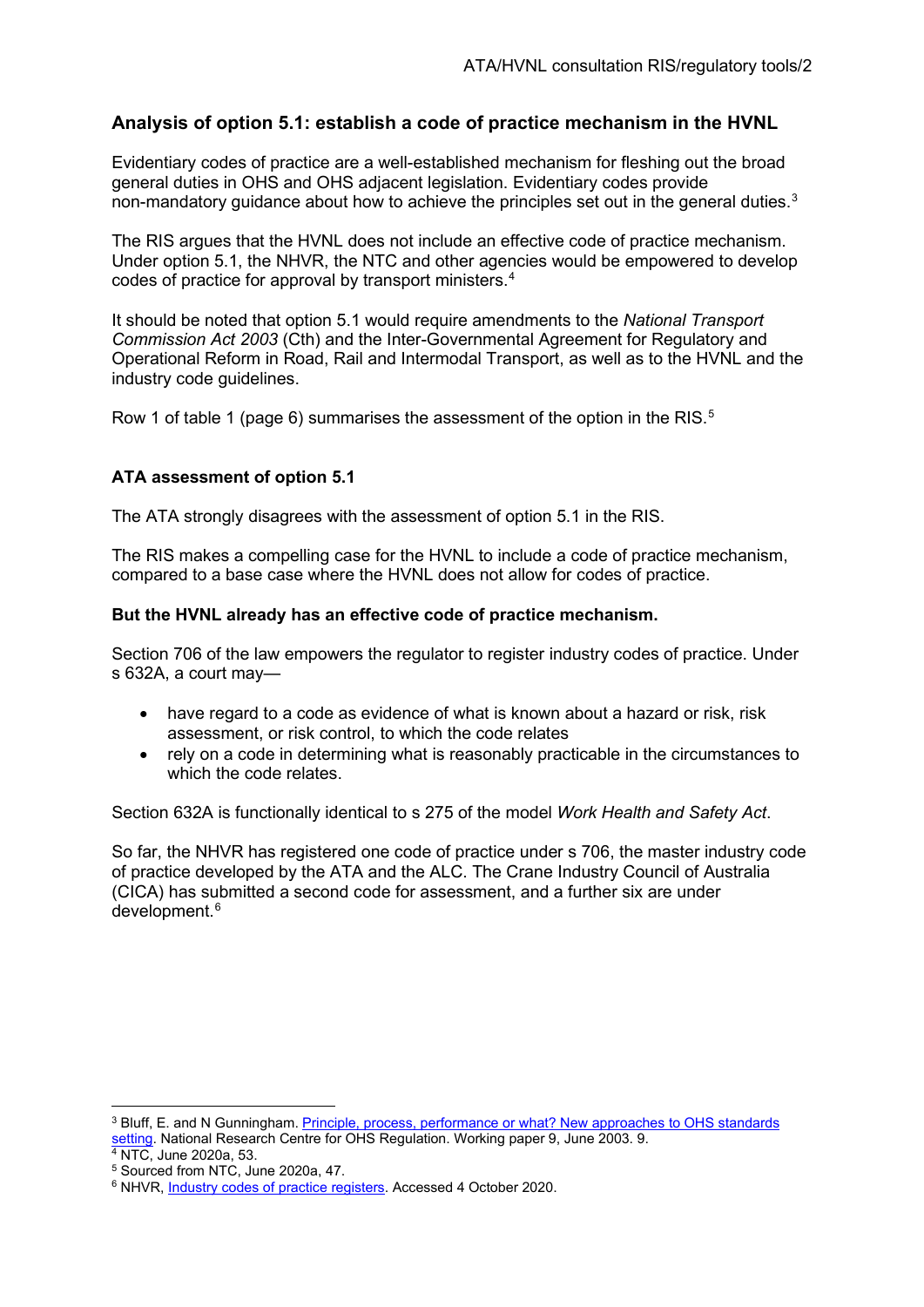# **Analysis of option 5.1: establish a code of practice mechanism in the HVNL**

Evidentiary codes of practice are a well-established mechanism for fleshing out the broad general duties in OHS and OHS adjacent legislation. Evidentiary codes provide non-mandatory quidance about how to achieve the principles set out in the general duties.<sup>[3](#page-1-0)</sup>

The RIS argues that the HVNL does not include an effective code of practice mechanism. Under option 5.1, the NHVR, the NTC and other agencies would be empowered to develop codes of practice for approval by transport ministers.[4](#page-1-1)

It should be noted that option 5.1 would require amendments to the *National Transport Commission Act 2003* (Cth) and the Inter-Governmental Agreement for Regulatory and Operational Reform in Road, Rail and Intermodal Transport, as well as to the HVNL and the industry code guidelines.

Row 1 of table 1 (page [6\)](#page-5-0) summarises the assessment of the option in the RIS. $^{\rm 5}$  $^{\rm 5}$  $^{\rm 5}$ 

# **ATA assessment of option 5.1**

The ATA strongly disagrees with the assessment of option 5.1 in the RIS.

The RIS makes a compelling case for the HVNL to include a code of practice mechanism, compared to a base case where the HVNL does not allow for codes of practice.

#### **But the HVNL already has an effective code of practice mechanism.**

Section 706 of the law empowers the regulator to register industry codes of practice. Under s 632A, a court may—

- have regard to a code as evidence of what is known about a hazard or risk, risk assessment, or risk control, to which the code relates
- rely on a code in determining what is reasonably practicable in the circumstances to which the code relates.

Section 632A is functionally identical to s 275 of the model *Work Health and Safety Act*.

So far, the NHVR has registered one code of practice under s 706, the master industry code of practice developed by the ATA and the ALC. The Crane Industry Council of Australia (CICA) has submitted a second code for assessment, and a further six are under development.[6](#page-1-3)

<span id="page-1-0"></span><sup>&</sup>lt;sup>3</sup> Bluff, E. and N Gunningham. Principle, process, performance or what? New approaches to OHS standards [setting.](https://openresearch-repository.anu.edu.au/bitstream/1885/41219/3/WP9.BluffGunn.pdf) National Research Centre for OHS Regulation. Working paper 9, June 2003. 9. <sup>4</sup> NTC, June 2020a, 53.

<span id="page-1-2"></span><span id="page-1-1"></span><sup>5</sup> Sourced from NTC, June 2020a, 47.

<span id="page-1-3"></span><sup>&</sup>lt;sup>6</sup> NHVR, [Industry codes of practice registers.](https://www.nhvr.gov.au/safety-accreditation-compliance/industry-codes-of-practice/registers) Accessed 4 October 2020.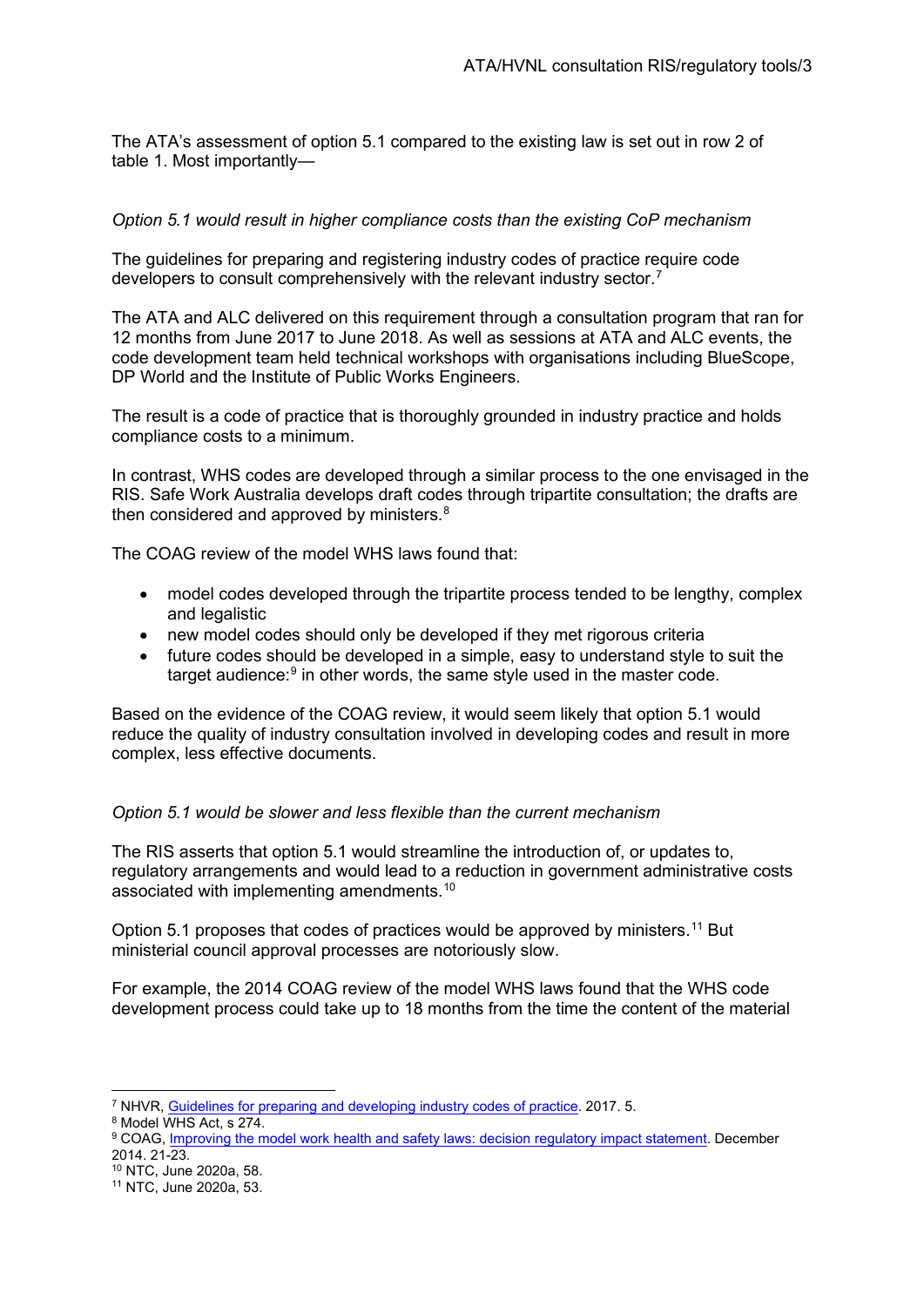The ATA's assessment of option 5.1 compared to the existing law is set out in row 2 of table 1. Most importantly—

#### *Option 5.1 would result in higher compliance costs than the existing CoP mechanism*

The guidelines for preparing and registering industry codes of practice require code developers to consult comprehensively with the relevant industry sector.[7](#page-2-0)

The ATA and ALC delivered on this requirement through a consultation program that ran for 12 months from June 2017 to June 2018. As well as sessions at ATA and ALC events, the code development team held technical workshops with organisations including BlueScope, DP World and the Institute of Public Works Engineers.

The result is a code of practice that is thoroughly grounded in industry practice and holds compliance costs to a minimum.

In contrast, WHS codes are developed through a similar process to the one envisaged in the RIS. Safe Work Australia develops draft codes through tripartite consultation; the drafts are then considered and approved by ministers.<sup>[8](#page-2-1)</sup>

The COAG review of the model WHS laws found that:

- model codes developed through the tripartite process tended to be lengthy, complex and legalistic
- new model codes should only be developed if they met rigorous criteria
- future codes should be developed in a simple, easy to understand style to suit the target audience:<sup>[9](#page-2-2)</sup> in other words, the same style used in the master code.

Based on the evidence of the COAG review, it would seem likely that option 5.1 would reduce the quality of industry consultation involved in developing codes and result in more complex, less effective documents.

#### *Option 5.1 would be slower and less flexible than the current mechanism*

The RIS asserts that option 5.1 would streamline the introduction of, or updates to, regulatory arrangements and would lead to a reduction in government administrative costs associated with implementing amendments.[10](#page-2-3)

<span id="page-2-5"></span>Option 5.1 proposes that codes of practices would be approved by ministers.<sup>11</sup> But ministerial council approval processes are notoriously slow.

For example, the 2014 COAG review of the model WHS laws found that the WHS code development process could take up to 18 months from the time the content of the material

<span id="page-2-0"></span><sup>7</sup> NHVR, [Guidelines for preparing and developing industry codes of practice.](https://www.nhvr.gov.au/files/201807-0460-industry-codes-of-practice-guidelines.pdf) 2017. 5.

<span id="page-2-1"></span><sup>8</sup> Model WHS Act, s 274.

<span id="page-2-2"></span><sup>9</sup> COAG, [Improving the model work health and safety laws: decision regulatory impact statement.](https://ris.pmc.gov.au/sites/default/files/posts/2017/01/decision_ris.pdf) December 2014. 21-23.

<span id="page-2-3"></span><sup>10</sup> NTC, June 2020a, 58.

<span id="page-2-4"></span><sup>11</sup> NTC, June 2020a, 53.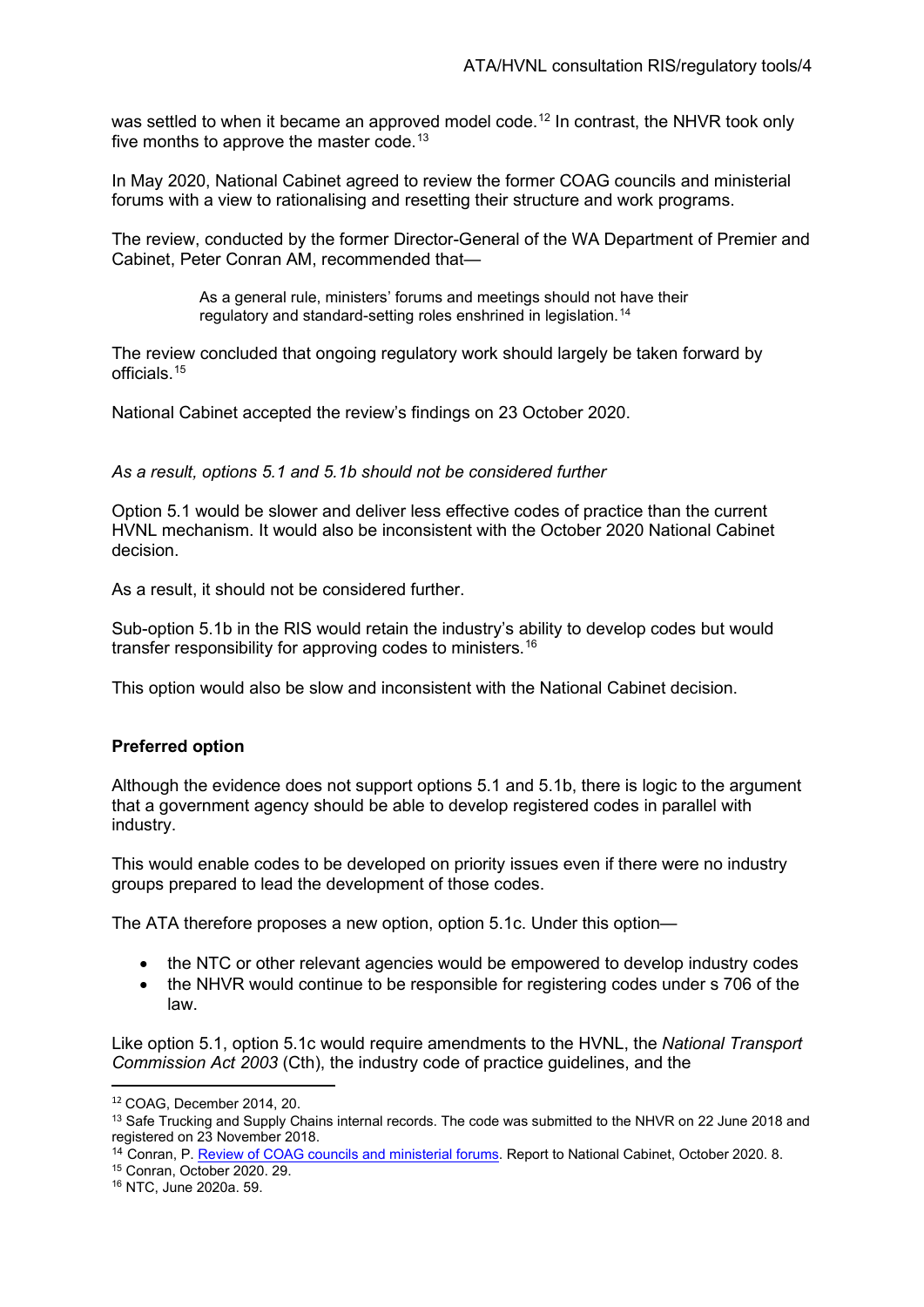was settled to when it became an approved model code.<sup>[12](#page-3-0)</sup> In contrast, the NHVR took only five months to approve the master code.<sup>[13](#page-3-1)</sup>

In May 2020, National Cabinet agreed to review the former COAG councils and ministerial forums with a view to rationalising and resetting their structure and work programs.

The review, conducted by the former Director-General of the WA Department of Premier and Cabinet, Peter Conran AM, recommended that—

> <span id="page-3-5"></span>As a general rule, ministers' forums and meetings should not have their regulatory and standard-setting roles enshrined in legislation.[14](#page-3-2)

The review concluded that ongoing regulatory work should largely be taken forward by officials.[15](#page-3-3)

National Cabinet accepted the review's findings on 23 October 2020.

*As a result, options 5.1 and 5.1b should not be considered further* 

Option 5.1 would be slower and deliver less effective codes of practice than the current HVNL mechanism. It would also be inconsistent with the October 2020 National Cabinet decision.

As a result, it should not be considered further.

Sub-option 5.1b in the RIS would retain the industry's ability to develop codes but would transfer responsibility for approving codes to ministers.[16](#page-3-4)

This option would also be slow and inconsistent with the National Cabinet decision.

#### **Preferred option**

Although the evidence does not support options 5.1 and 5.1b, there is logic to the argument that a government agency should be able to develop registered codes in parallel with industry.

This would enable codes to be developed on priority issues even if there were no industry groups prepared to lead the development of those codes.

The ATA therefore proposes a new option, option 5.1c. Under this option—

- the NTC or other relevant agencies would be empowered to develop industry codes
- the NHVR would continue to be responsible for registering codes under s 706 of the law.

Like option 5.1, option 5.1c would require amendments to the HVNL, the *National Transport Commission Act 2003* (Cth), the industry code of practice guidelines, and the

<span id="page-3-0"></span><sup>12</sup> COAG, December 2014, 20.

<span id="page-3-1"></span><sup>&</sup>lt;sup>13</sup> Safe Trucking and Supply Chains internal records. The code was submitted to the NHVR on 22 June 2018 and registered on 23 November 2018.

<span id="page-3-2"></span><sup>&</sup>lt;sup>14</sup> Conran, P[. Review of COAG councils and ministerial forums.](https://www.pmc.gov.au/sites/default/files/final-report-review-coag-councils-ministerial-forums.pdf) Report to National Cabinet, October 2020. 8.

<span id="page-3-3"></span><sup>15</sup> Conran, October 2020. 29.

<span id="page-3-4"></span><sup>16</sup> NTC, June 2020a. 59.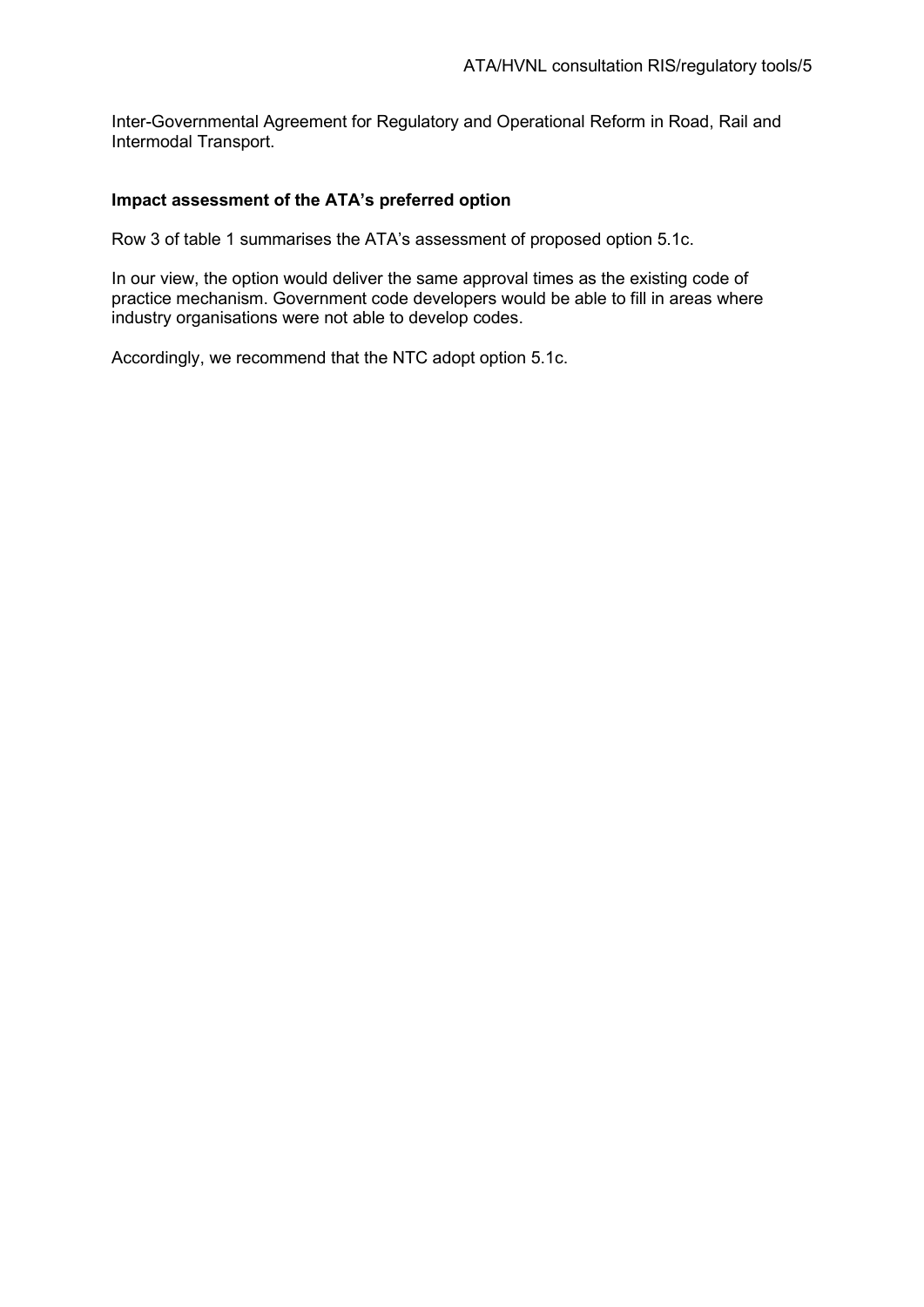Inter-Governmental Agreement for Regulatory and Operational Reform in Road, Rail and Intermodal Transport.

#### **Impact assessment of the ATA's preferred option**

Row 3 of table 1 summarises the ATA's assessment of proposed option 5.1c.

In our view, the option would deliver the same approval times as the existing code of practice mechanism. Government code developers would be able to fill in areas where industry organisations were not able to develop codes.

Accordingly, we recommend that the NTC adopt option 5.1c.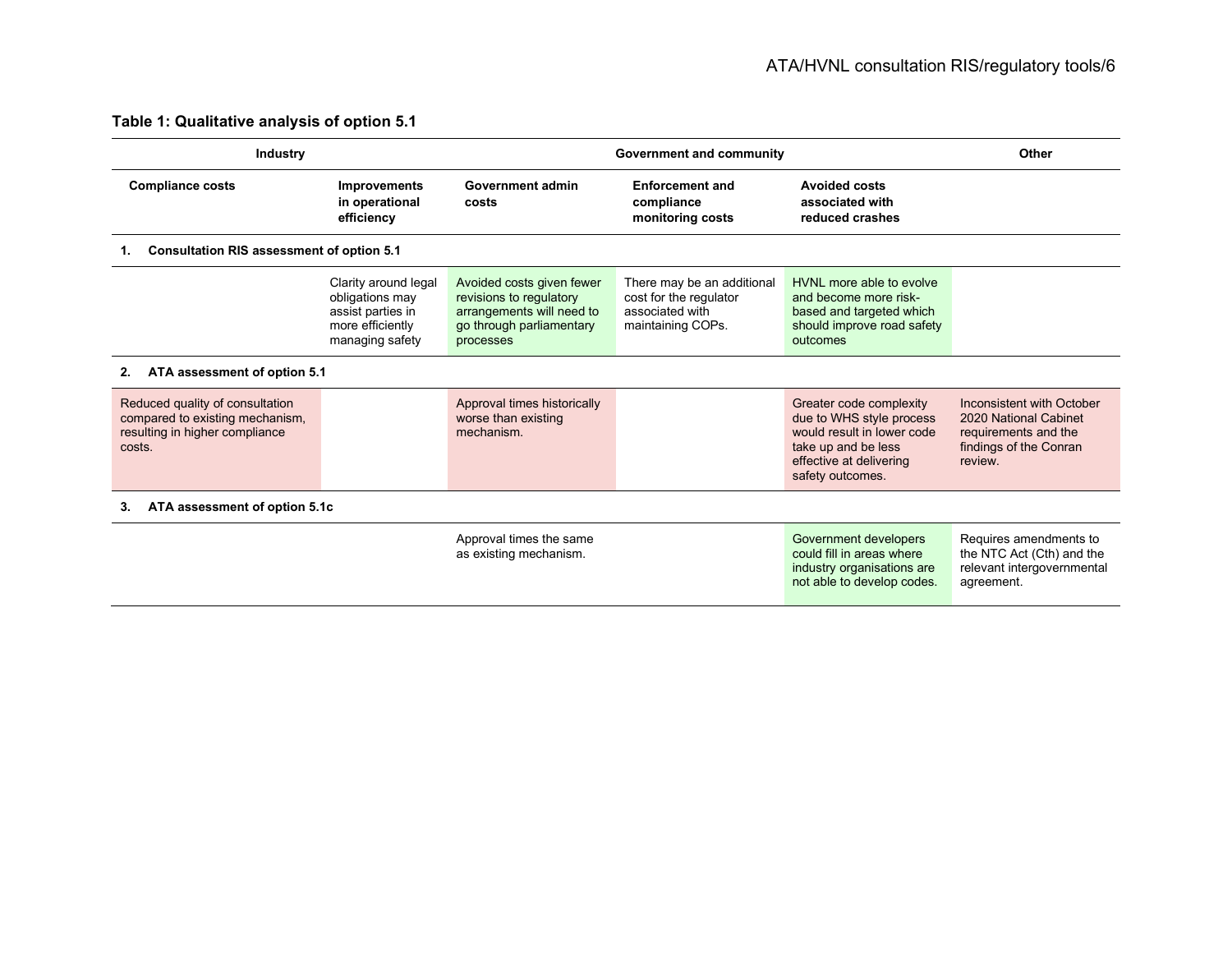# **Table 1: Qualitative analysis of option 5.1**

<span id="page-5-0"></span>

| <b>Industry</b>                                                                                                |                                                                                                     | Government and community                                                                                                   |                                                                                              |                                                                                                                                                         | Other                                                                                                           |  |
|----------------------------------------------------------------------------------------------------------------|-----------------------------------------------------------------------------------------------------|----------------------------------------------------------------------------------------------------------------------------|----------------------------------------------------------------------------------------------|---------------------------------------------------------------------------------------------------------------------------------------------------------|-----------------------------------------------------------------------------------------------------------------|--|
| <b>Compliance costs</b>                                                                                        | <b>Improvements</b><br>in operational<br>efficiency                                                 | Government admin<br>costs                                                                                                  | <b>Enforcement and</b><br>compliance<br>monitoring costs                                     | <b>Avoided costs</b><br>associated with<br>reduced crashes                                                                                              |                                                                                                                 |  |
| <b>Consultation RIS assessment of option 5.1</b>                                                               |                                                                                                     |                                                                                                                            |                                                                                              |                                                                                                                                                         |                                                                                                                 |  |
|                                                                                                                | Clarity around legal<br>obligations may<br>assist parties in<br>more efficiently<br>managing safety | Avoided costs given fewer<br>revisions to regulatory<br>arrangements will need to<br>go through parliamentary<br>processes | There may be an additional<br>cost for the regulator<br>associated with<br>maintaining COPs. | HVNL more able to evolve<br>and become more risk-<br>based and targeted which<br>should improve road safety<br>outcomes                                 |                                                                                                                 |  |
| ATA assessment of option 5.1<br>2.                                                                             |                                                                                                     |                                                                                                                            |                                                                                              |                                                                                                                                                         |                                                                                                                 |  |
| Reduced quality of consultation<br>compared to existing mechanism.<br>resulting in higher compliance<br>costs. |                                                                                                     | Approval times historically<br>worse than existing<br>mechanism.                                                           |                                                                                              | Greater code complexity<br>due to WHS style process<br>would result in lower code<br>take up and be less<br>effective at delivering<br>safety outcomes. | Inconsistent with October<br>2020 National Cabinet<br>requirements and the<br>findings of the Conran<br>review. |  |
| ATA assessment of option 5.1c                                                                                  |                                                                                                     |                                                                                                                            |                                                                                              |                                                                                                                                                         |                                                                                                                 |  |
|                                                                                                                |                                                                                                     | Approval times the same<br>as existing mechanism.                                                                          |                                                                                              | Government developers<br>could fill in areas where<br>industry organisations are<br>not able to develop codes.                                          | Requires amendments to<br>the NTC Act (Cth) and the<br>relevant intergovernmental<br>agreement.                 |  |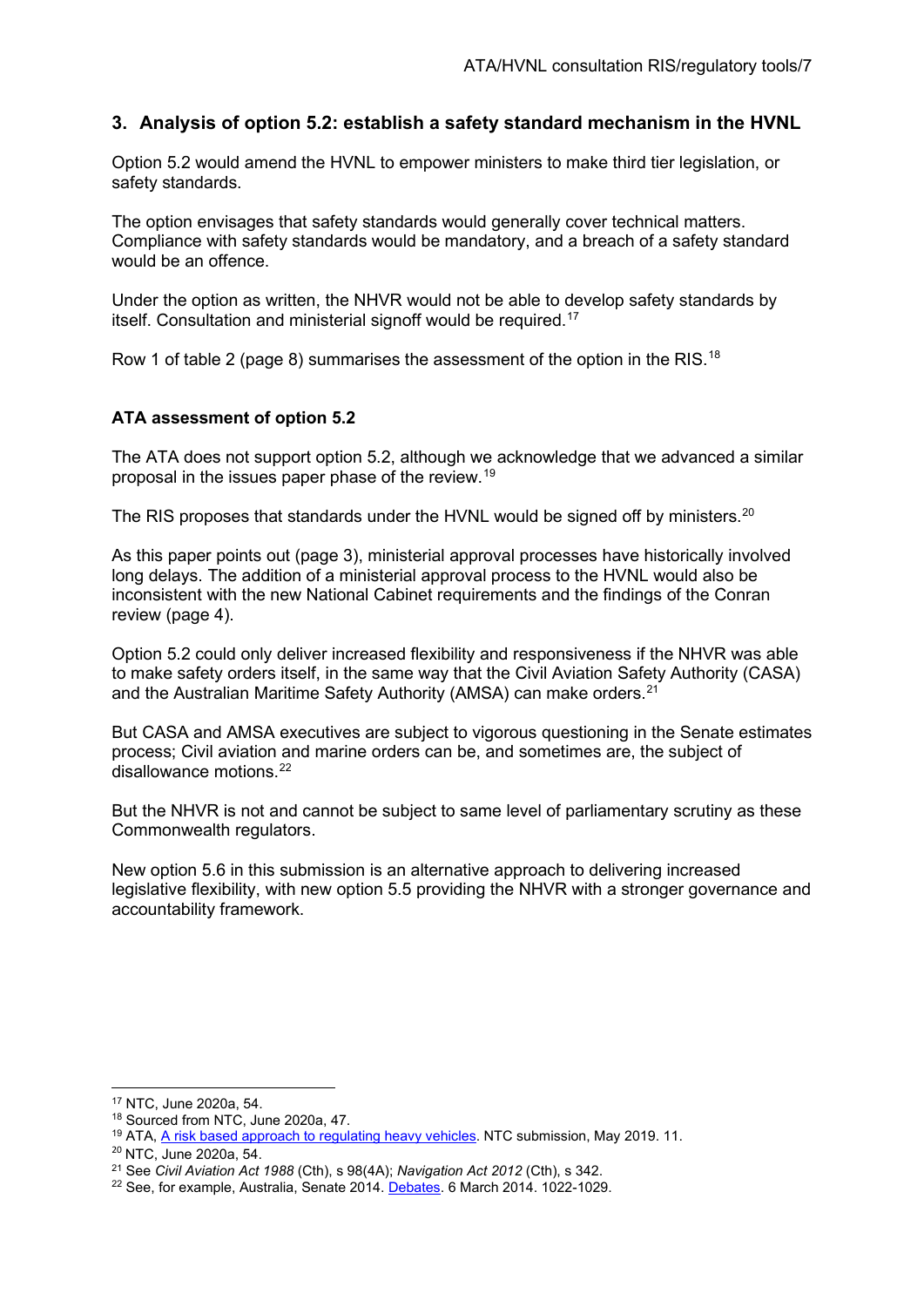# **3. Analysis of option 5.2: establish a safety standard mechanism in the HVNL**

Option 5.2 would amend the HVNL to empower ministers to make third tier legislation, or safety standards.

The option envisages that safety standards would generally cover technical matters. Compliance with safety standards would be mandatory, and a breach of a safety standard would be an offence.

Under the option as written, the NHVR would not be able to develop safety standards by itself. Consultation and ministerial signoff would be required. [17](#page-6-0)

Row 1 of table 2 (page 8) summarises the assessment of the option in the RIS.<sup>[18](#page-6-1)</sup>

#### **ATA assessment of option 5.2**

The ATA does not support option 5.2, although we acknowledge that we advanced a similar proposal in the issues paper phase of the review.[19](#page-6-2)

The RIS proposes that standards under the HVNL would be signed off by ministers.<sup>20</sup>

As this paper points out (page [3\)](#page-2-5), ministerial approval processes have historically involved long delays. The addition of a ministerial approval process to the HVNL would also be inconsistent with the new National Cabinet requirements and the findings of the Conran review (page [4\)](#page-3-5).

Option 5.2 could only deliver increased flexibility and responsiveness if the NHVR was able to make safety orders itself, in the same way that the Civil Aviation Safety Authority (CASA) and the Australian Maritime Safety Authority (AMSA) can make orders.<sup>[21](#page-6-4)</sup>

But CASA and AMSA executives are subject to vigorous questioning in the Senate estimates process; Civil aviation and marine orders can be, and sometimes are, the subject of disallowance motions.[22](#page-6-5)

But the NHVR is not and cannot be subject to same level of parliamentary scrutiny as these Commonwealth regulators.

New option 5.6 in this submission is an alternative approach to delivering increased legislative flexibility, with new option 5.5 providing the NHVR with a stronger governance and accountability framework.

<span id="page-6-0"></span><sup>17</sup> NTC, June 2020a, 54.

<span id="page-6-1"></span><sup>18</sup> Sourced from NTC, June 2020a, 47.

<sup>&</sup>lt;sup>19</sup> ATA[, A risk based approach to regulating heavy vehicles.](https://www.truck.net.au/sites/default/files/submissions/ATA%20submission%20A%20risk%20based%20approach%20to%20regulating%20heavy%20vehicles%20FINAL.pdf) NTC submission, May 2019. 11.

<span id="page-6-3"></span><span id="page-6-2"></span><sup>20</sup> NTC, June 2020a, 54.

<span id="page-6-4"></span><sup>21</sup> See *Civil Aviation Act 1988* (Cth), s 98(4A); *Navigation Act 2012* (Cth), s 342.

<span id="page-6-5"></span><sup>&</sup>lt;sup>22</sup> See, for example, Australia, Senate 2014. [Debates.](https://parlinfo.aph.gov.au/parlInfo/download/chamber/hansards/b8b768b0-9052-4e5e-aab8-fb4933284d65/toc_pdf/Senate_2014_03_06_2249_Official.pdf;fileType=application%2Fpdf#search=%22chamber/hansards/b8b768b0-9052-4e5e-aab8-fb4933284d65/0000%22) 6 March 2014. 1022-1029.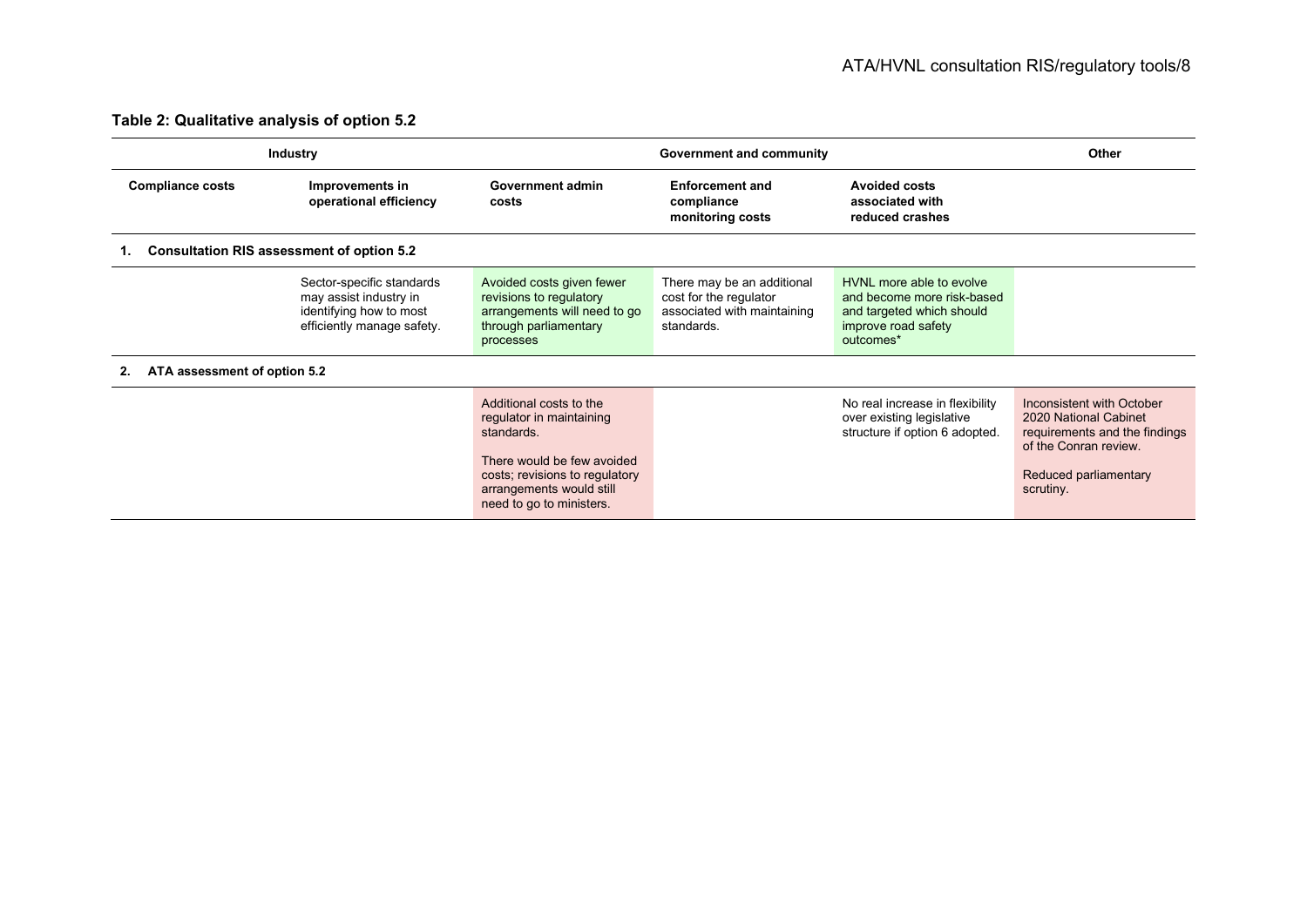# **Table 2: Qualitative analysis of option 5.2**

| <b>Industry</b>                                  |                                                                                                              | Government and community                                                                                                                                                                  |                                                                                                   |                                                                                                                         | Other                                                                                                                                              |  |
|--------------------------------------------------|--------------------------------------------------------------------------------------------------------------|-------------------------------------------------------------------------------------------------------------------------------------------------------------------------------------------|---------------------------------------------------------------------------------------------------|-------------------------------------------------------------------------------------------------------------------------|----------------------------------------------------------------------------------------------------------------------------------------------------|--|
| <b>Compliance costs</b>                          | Improvements in<br>operational efficiency                                                                    | Government admin<br>costs                                                                                                                                                                 | <b>Enforcement and</b><br>compliance<br>monitoring costs                                          | <b>Avoided costs</b><br>associated with<br>reduced crashes                                                              |                                                                                                                                                    |  |
| <b>Consultation RIS assessment of option 5.2</b> |                                                                                                              |                                                                                                                                                                                           |                                                                                                   |                                                                                                                         |                                                                                                                                                    |  |
|                                                  | Sector-specific standards<br>may assist industry in<br>identifying how to most<br>efficiently manage safety. | Avoided costs given fewer<br>revisions to regulatory<br>arrangements will need to go<br>through parliamentary<br>processes                                                                | There may be an additional<br>cost for the regulator<br>associated with maintaining<br>standards. | HVNI more able to evolve<br>and become more risk-based<br>and targeted which should<br>improve road safety<br>outcomes* |                                                                                                                                                    |  |
| ATA assessment of option 5.2                     |                                                                                                              |                                                                                                                                                                                           |                                                                                                   |                                                                                                                         |                                                                                                                                                    |  |
|                                                  |                                                                                                              | Additional costs to the<br>regulator in maintaining<br>standards.<br>There would be few avoided<br>costs; revisions to regulatory<br>arrangements would still<br>need to go to ministers. |                                                                                                   | No real increase in flexibility<br>over existing legislative<br>structure if option 6 adopted.                          | Inconsistent with October<br>2020 National Cabinet<br>requirements and the findings<br>of the Conran review.<br>Reduced parliamentary<br>scrutiny. |  |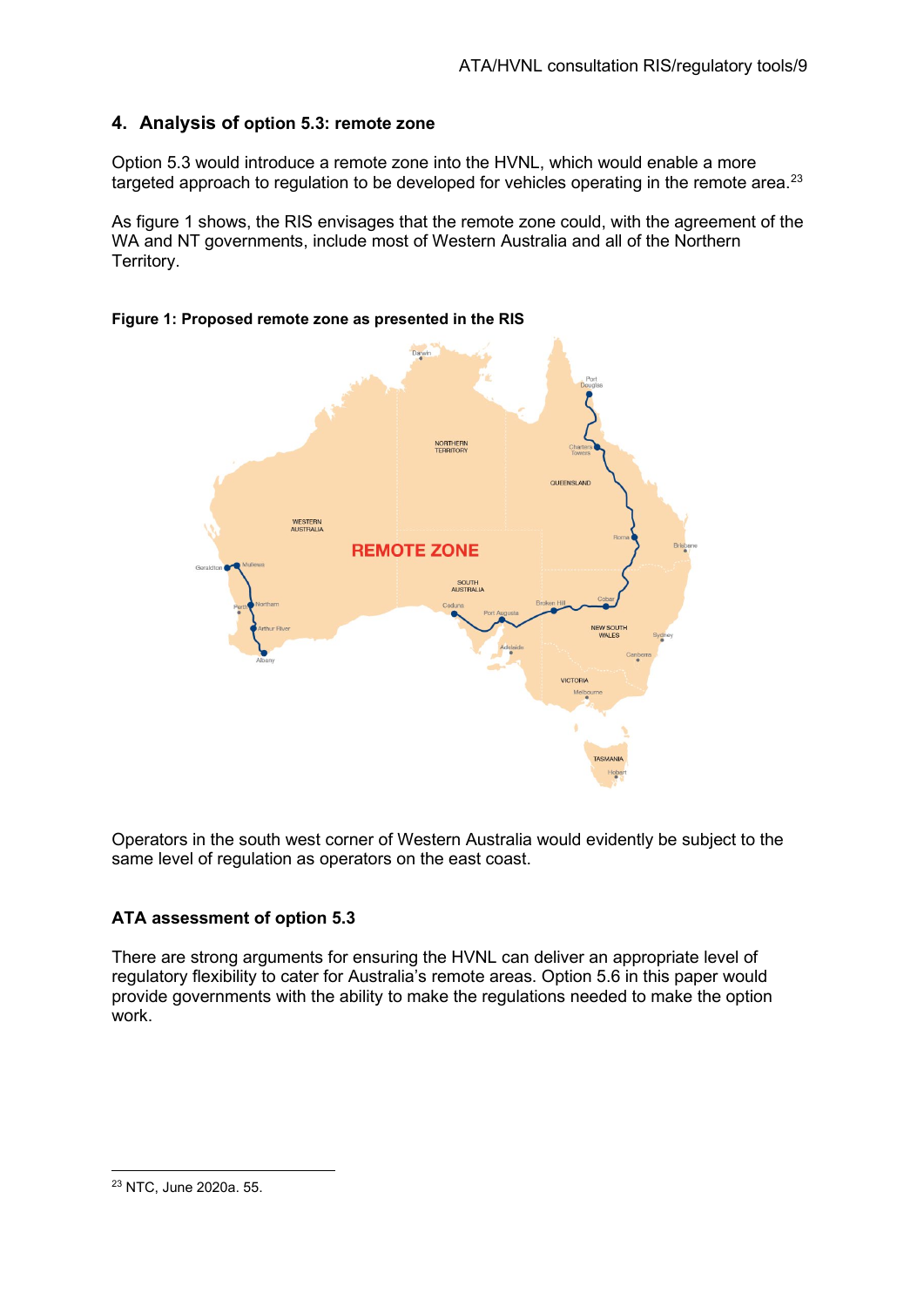# **4. Analysis of option 5.3: remote zone**

Option 5.3 would introduce a remote zone into the HVNL, which would enable a more targeted approach to regulation to be developed for vehicles operating in the remote area. $^{23}$  $^{23}$  $^{23}$ 

As figure 1 shows, the RIS envisages that the remote zone could, with the agreement of the WA and NT governments, include most of Western Australia and all of the Northern Territory.

# NORTHERN<br>TERRITORY **QUEENSLAND** WESTERN<br>AUSTRALIA **REMOTE ZONE**

#### **Figure 1: Proposed remote zone as presented in the RIS**

Operators in the south west corner of Western Australia would evidently be subject to the same level of regulation as operators on the east coast.

# **ATA assessment of option 5.3**

There are strong arguments for ensuring the HVNL can deliver an appropriate level of regulatory flexibility to cater for Australia's remote areas. Option 5.6 in this paper would provide governments with the ability to make the regulations needed to make the option work.



<span id="page-8-0"></span><sup>23</sup> NTC, June 2020a. 55.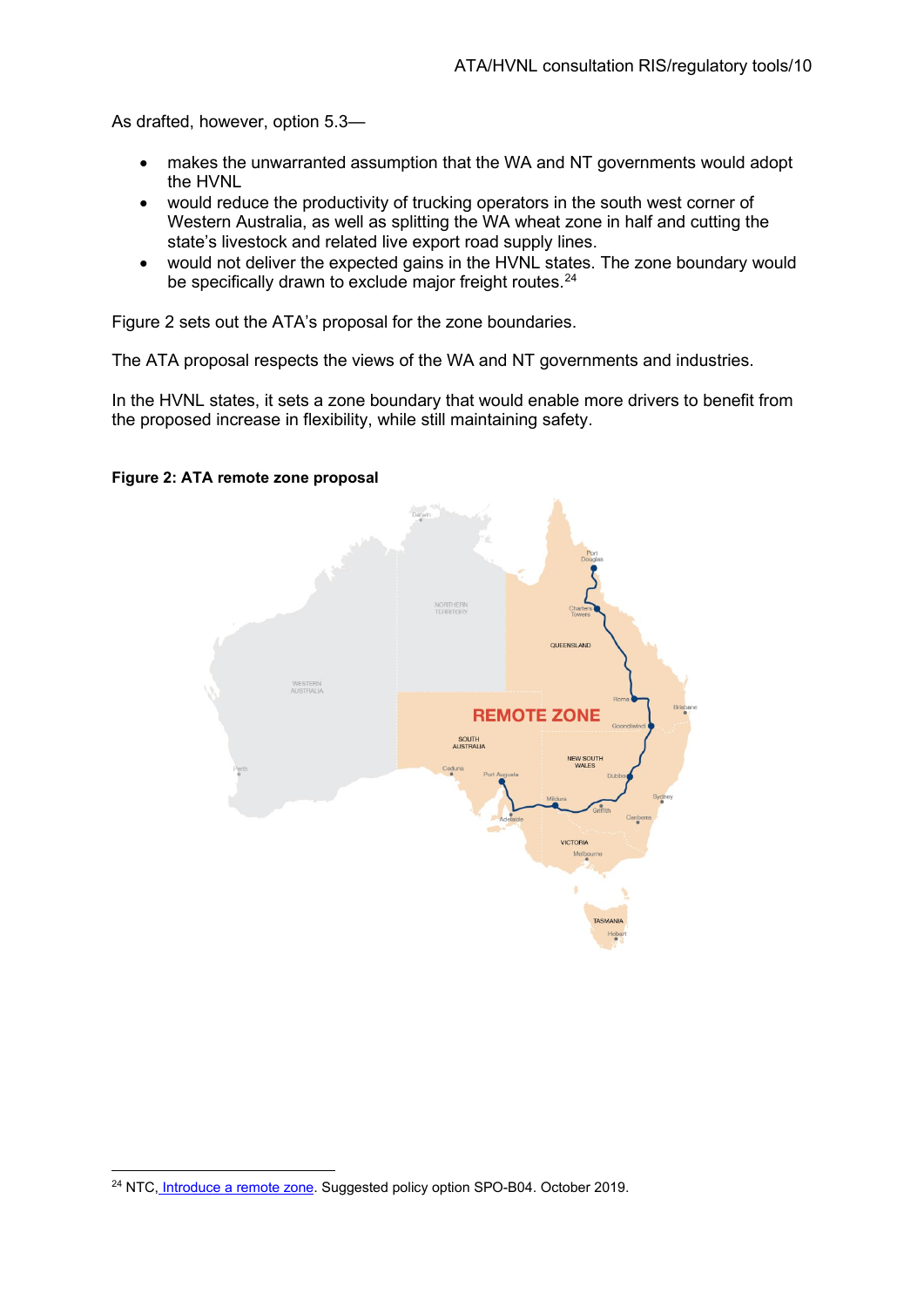As drafted, however, option 5.3—

- makes the unwarranted assumption that the WA and NT governments would adopt the HVNL
- would reduce the productivity of trucking operators in the south west corner of Western Australia, as well as splitting the WA wheat zone in half and cutting the state's livestock and related live export road supply lines.
- would not deliver the expected gains in the HVNL states. The zone boundary would be specifically drawn to exclude major freight routes.<sup>[24](#page-9-0)</sup>

Figure 2 sets out the ATA's proposal for the zone boundaries.

The ATA proposal respects the views of the WA and NT governments and industries.

In the HVNL states, it sets a zone boundary that would enable more drivers to benefit from the proposed increase in flexibility, while still maintaining safety.



#### **Figure 2: ATA remote zone proposal**

<span id="page-9-0"></span><sup>&</sup>lt;sup>24</sup> NTC, [Introduce a remote zone.](https://s3.ap-southeast-2.amazonaws.com/hdp.au.prod.app.ntc-hvlawreview.files/3115/7197/9298/SPO-B04_-_Introduce_a_remote_zone.pdf) Suggested policy option SPO-B04. October 2019.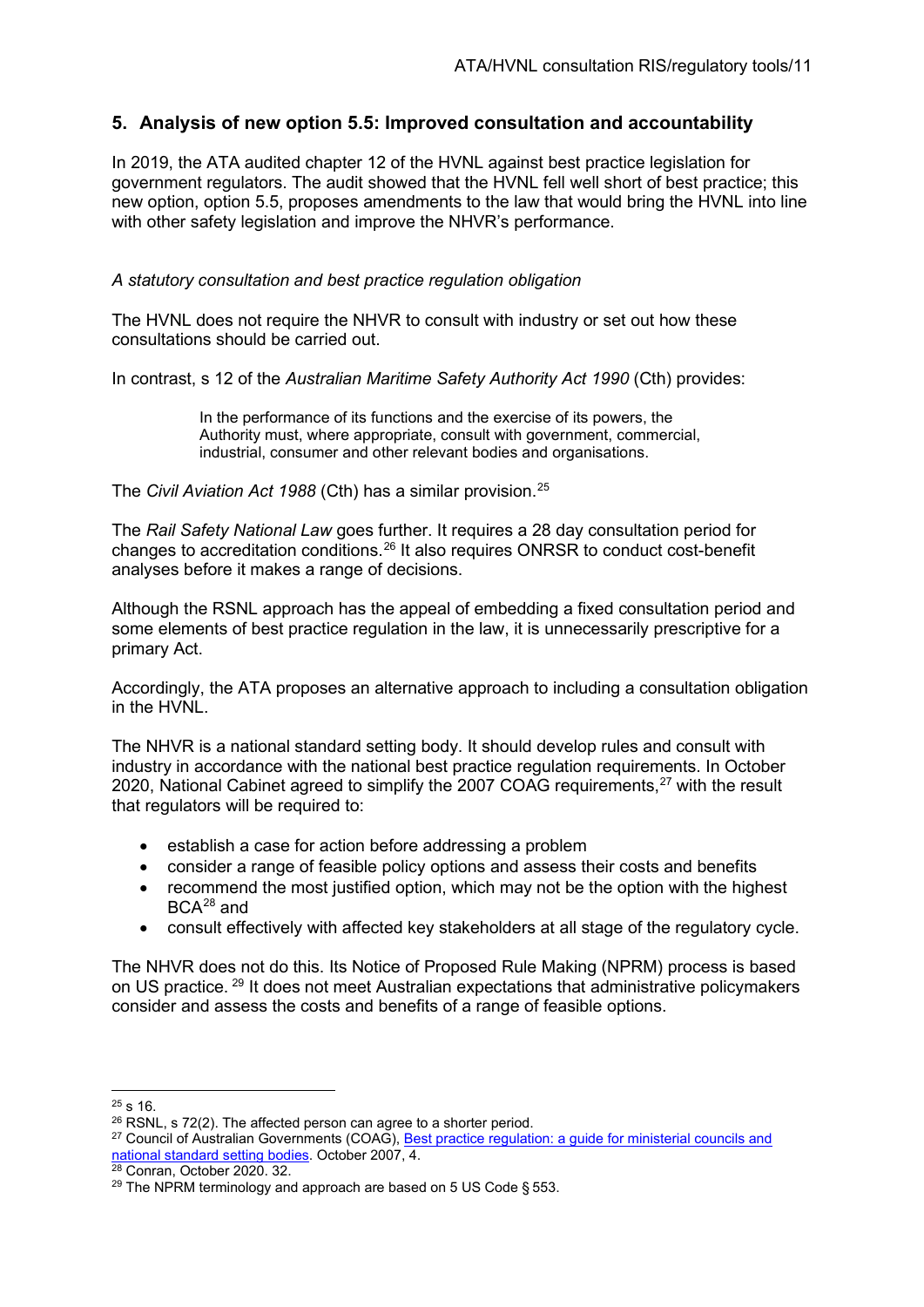# **5. Analysis of new option 5.5: Improved consultation and accountability**

In 2019, the ATA audited chapter 12 of the HVNL against best practice legislation for government regulators. The audit showed that the HVNL fell well short of best practice; this new option, option 5.5, proposes amendments to the law that would bring the HVNL into line with other safety legislation and improve the NHVR's performance.

#### *A statutory consultation and best practice regulation obligation*

The HVNL does not require the NHVR to consult with industry or set out how these consultations should be carried out.

In contrast, s 12 of the *Australian Maritime Safety Authority Act 1990* (Cth) provides:

In the performance of its functions and the exercise of its powers, the Authority must, where appropriate, consult with government, commercial, industrial, consumer and other relevant bodies and organisations.

The *Civil Aviation Act 1988* (Cth) has a similar provision.[25](#page-10-0)

The *Rail Safety National Law* goes further. It requires a 28 day consultation period for changes to accreditation conditions.[26](#page-10-1) It also requires ONRSR to conduct cost-benefit analyses before it makes a range of decisions.

Although the RSNL approach has the appeal of embedding a fixed consultation period and some elements of best practice regulation in the law, it is unnecessarily prescriptive for a primary Act.

Accordingly, the ATA proposes an alternative approach to including a consultation obligation in the HVNL

The NHVR is a national standard setting body. It should develop rules and consult with industry in accordance with the national best practice regulation requirements. In October 2020, National Cabinet agreed to simplify the 2007 COAG requirements,<sup>[27](#page-10-2)</sup> with the result that regulators will be required to:

- establish a case for action before addressing a problem
- consider a range of feasible policy options and assess their costs and benefits
- recommend the most justified option, which may not be the option with the highest BCA[28](#page-10-3) and
- consult effectively with affected key stakeholders at all stage of the regulatory cycle.

The NHVR does not do this. Its Notice of Proposed Rule Making (NPRM) process is based on US practice. <sup>[29](#page-10-4)</sup> It does not meet Australian expectations that administrative policymakers consider and assess the costs and benefits of a range of feasible options.

<span id="page-10-0"></span> $25$  s 16.

<span id="page-10-1"></span> $26$  RSNL, s 72(2). The affected person can agree to a shorter period.

<span id="page-10-2"></span><sup>&</sup>lt;sup>27</sup> Council of Australian Governments (COAG), Best practice regulation: a guide for ministerial councils and [national standard setting bodies.](https://www.pmc.gov.au/resource-centre/regulation/best-practice-regulation-guide-ministerial-councils-and-national-standard-setting-bodies) October 2007, 4.

<span id="page-10-3"></span><sup>28</sup> Conran, October 2020. 32.

<span id="page-10-4"></span><sup>&</sup>lt;sup>29</sup> The NPRM terminology and approach are based on 5 US Code  $§$  553.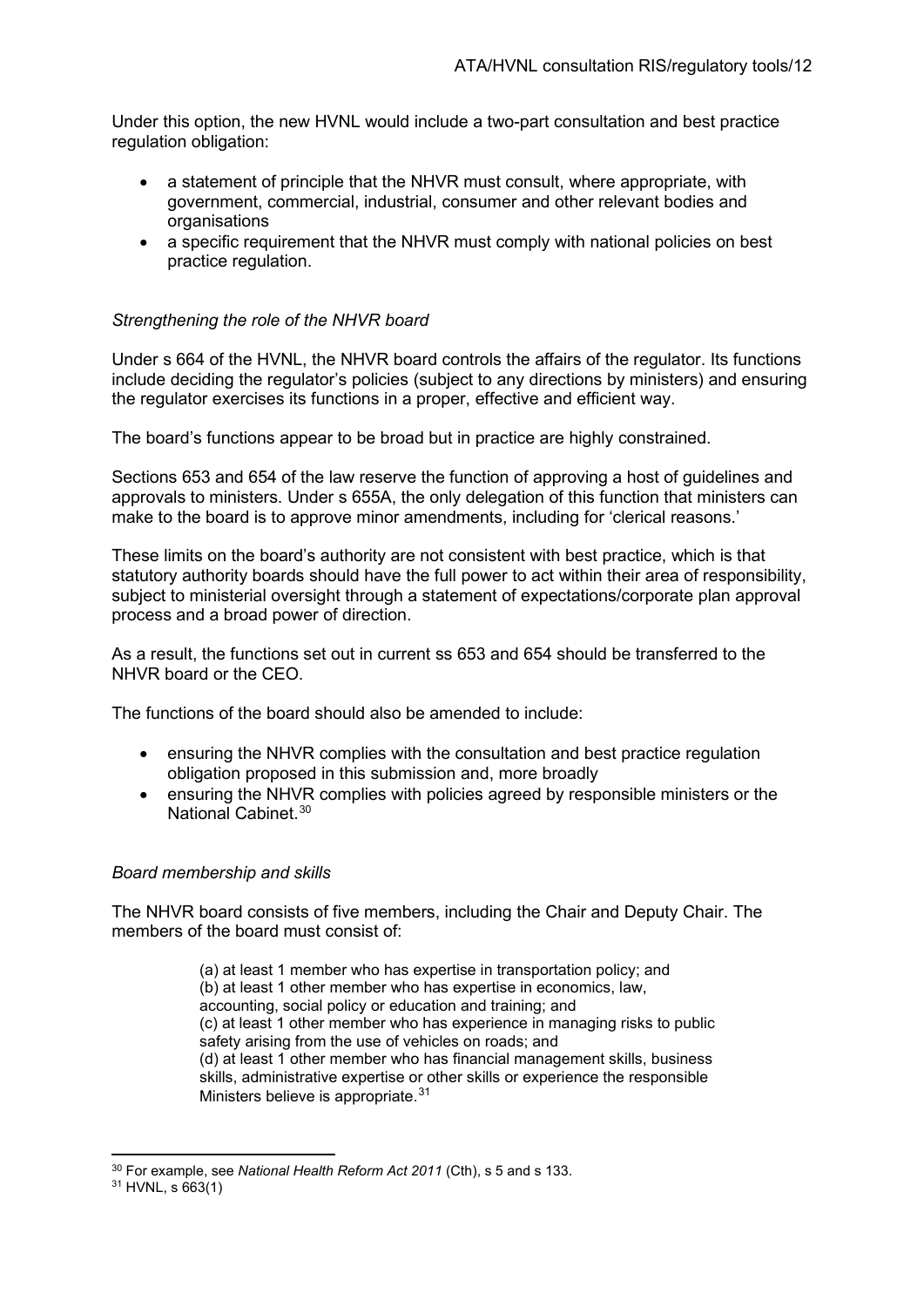Under this option, the new HVNL would include a two-part consultation and best practice regulation obligation:

- a statement of principle that the NHVR must consult, where appropriate, with government, commercial, industrial, consumer and other relevant bodies and organisations
- a specific requirement that the NHVR must comply with national policies on best practice regulation.

#### *Strengthening the role of the NHVR board*

Under s 664 of the HVNL, the NHVR board controls the affairs of the regulator. Its functions include deciding the regulator's policies (subject to any directions by ministers) and ensuring the regulator exercises its functions in a proper, effective and efficient way.

The board's functions appear to be broad but in practice are highly constrained.

Sections 653 and 654 of the law reserve the function of approving a host of guidelines and approvals to ministers. Under s 655A, the only delegation of this function that ministers can make to the board is to approve minor amendments, including for 'clerical reasons.'

These limits on the board's authority are not consistent with best practice, which is that statutory authority boards should have the full power to act within their area of responsibility, subject to ministerial oversight through a statement of expectations/corporate plan approval process and a broad power of direction.

As a result, the functions set out in current ss 653 and 654 should be transferred to the NHVR board or the CEO.

The functions of the board should also be amended to include:

- ensuring the NHVR complies with the consultation and best practice regulation obligation proposed in this submission and, more broadly
- ensuring the NHVR complies with policies agreed by responsible ministers or the National Cabinet. [30](#page-11-0)

#### *Board membership and skills*

The NHVR board consists of five members, including the Chair and Deputy Chair. The members of the board must consist of:

> (a) at least 1 member who has expertise in transportation policy; and (b) at least 1 other member who has expertise in economics, law, accounting, social policy or education and training; and (c) at least 1 other member who has experience in managing risks to public safety arising from the use of vehicles on roads; and (d) at least 1 other member who has financial management skills, business skills, administrative expertise or other skills or experience the responsible Ministers believe is appropriate.<sup>[31](#page-11-1)</sup>

<span id="page-11-0"></span><sup>30</sup> For example, see *National Health Reform Act 2011* (Cth), s 5 and s 133.

<span id="page-11-1"></span> $31$  HVNL, s 663(1)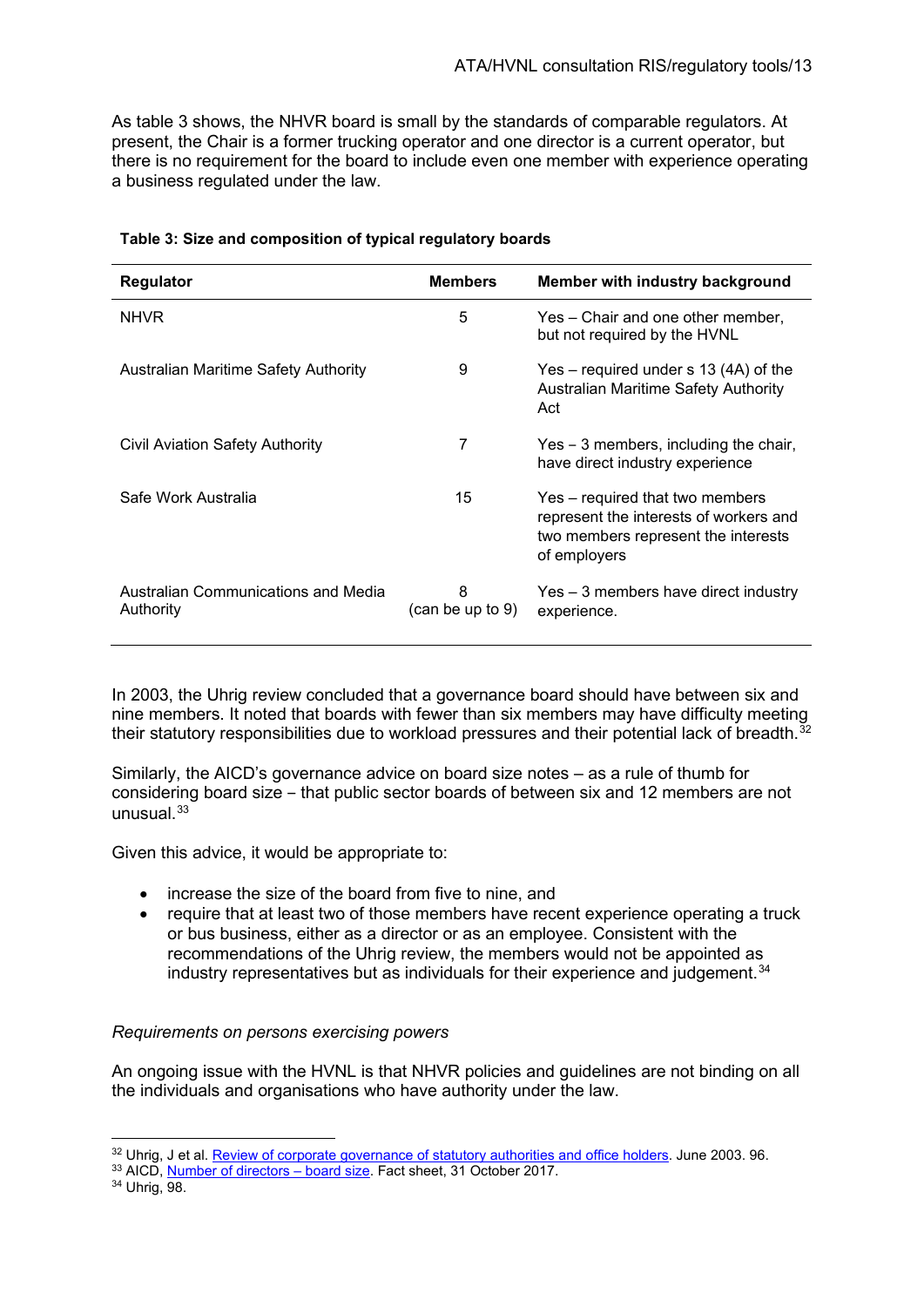As table 3 shows, the NHVR board is small by the standards of comparable regulators. At present, the Chair is a former trucking operator and one director is a current operator, but there is no requirement for the board to include even one member with experience operating a business regulated under the law.

| Regulator                                        | <b>Members</b>        | Member with industry background                                                                                                  |
|--------------------------------------------------|-----------------------|----------------------------------------------------------------------------------------------------------------------------------|
| <b>NHVR</b>                                      | 5                     | Yes – Chair and one other member,<br>but not required by the HVNL                                                                |
| Australian Maritime Safety Authority             | 9                     | $Yes - required under s 13 (4A) of the$<br><b>Australian Maritime Safety Authority</b><br>Act                                    |
| Civil Aviation Safety Authority                  | 7                     | Yes – 3 members, including the chair,<br>have direct industry experience                                                         |
| Safe Work Australia                              | 15                    | Yes – required that two members<br>represent the interests of workers and<br>two members represent the interests<br>of employers |
| Australian Communications and Media<br>Authority | 8<br>(can be up to 9) | Yes – 3 members have direct industry<br>experience.                                                                              |

#### **Table 3: Size and composition of typical regulatory boards**

In 2003, the Uhrig review concluded that a governance board should have between six and nine members. It noted that boards with fewer than six members may have difficulty meeting their statutory responsibilities due to workload pressures and their potential lack of breadth. $32$ 

Similarly, the AICD's governance advice on board size notes – as a rule of thumb for considering board size ‒ that public sector boards of between six and 12 members are not unusual $33$ 

Given this advice, it would be appropriate to:

- increase the size of the board from five to nine, and
- require that at least two of those members have recent experience operating a truck or bus business, either as a director or as an employee. Consistent with the recommendations of the Uhrig review, the members would not be appointed as industry representatives but as individuals for their experience and judgement.<sup>[34](#page-12-2)</sup>

#### *Requirements on persons exercising powers*

An ongoing issue with the HVNL is that NHVR policies and guidelines are not binding on all the individuals and organisations who have authority under the law.

<span id="page-12-1"></span><span id="page-12-0"></span> $32$  Uhrig[, J et al](https://aicd.companydirectors.com.au/resources/director-tools/practical-tools-for-directors/governance-relations/number-of-directors-board-size). <u>Review of corporate governance of statutory authorities and office holders</u>. June 2003. 96.  $33$  AICD, <u>Number of directors – board size</u>. Fact sheet, 31 October 2017.

<span id="page-12-2"></span><sup>34</sup> Uhrig, 98.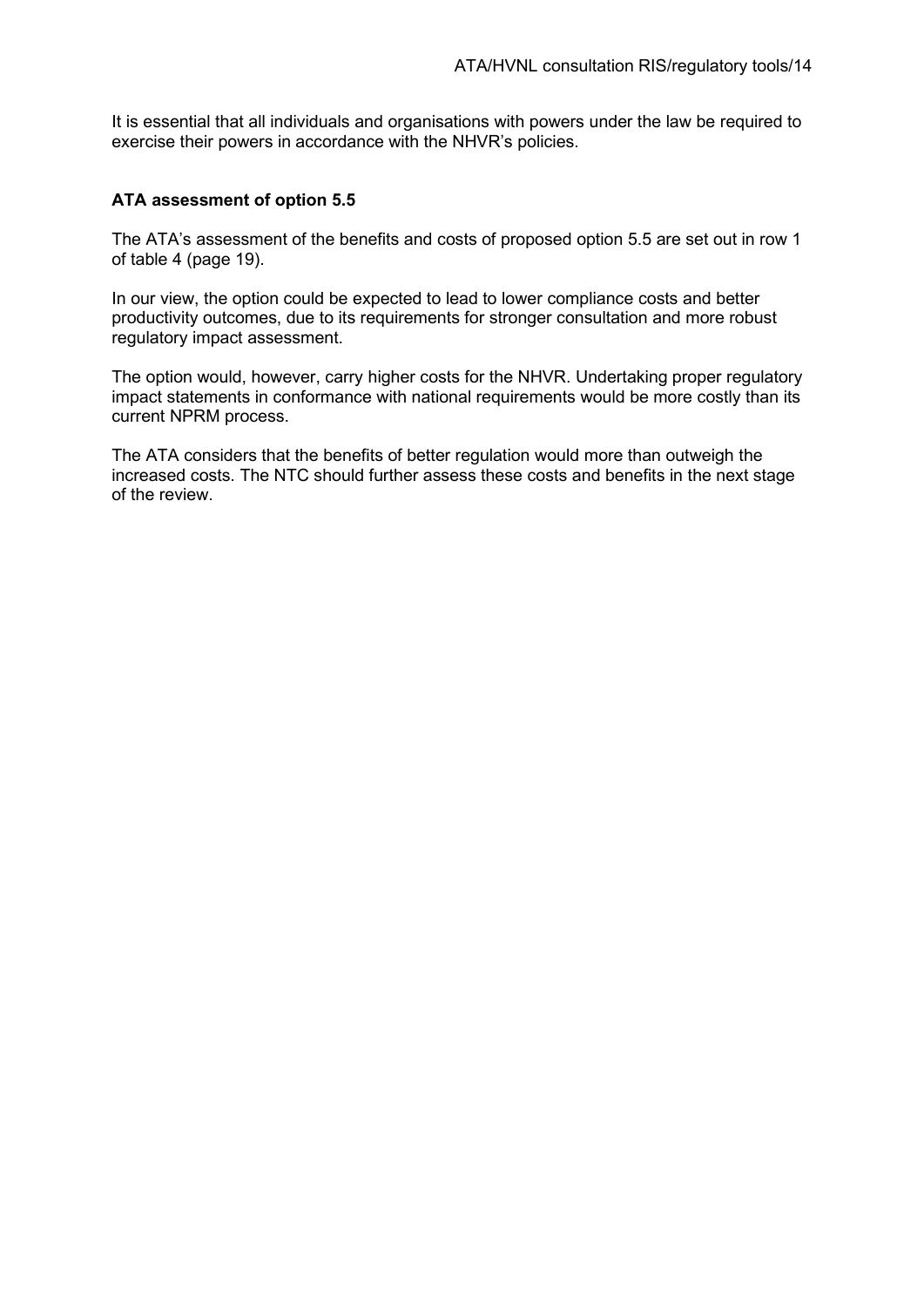It is essential that all individuals and organisations with powers under the law be required to exercise their powers in accordance with the NHVR's policies.

#### **ATA assessment of option 5.5**

The ATA's assessment of the benefits and costs of proposed option 5.5 are set out in row 1 of table 4 (page 19).

In our view, the option could be expected to lead to lower compliance costs and better productivity outcomes, due to its requirements for stronger consultation and more robust regulatory impact assessment.

The option would, however, carry higher costs for the NHVR. Undertaking proper regulatory impact statements in conformance with national requirements would be more costly than its current NPRM process.

The ATA considers that the benefits of better regulation would more than outweigh the increased costs. The NTC should further assess these costs and benefits in the next stage of the review.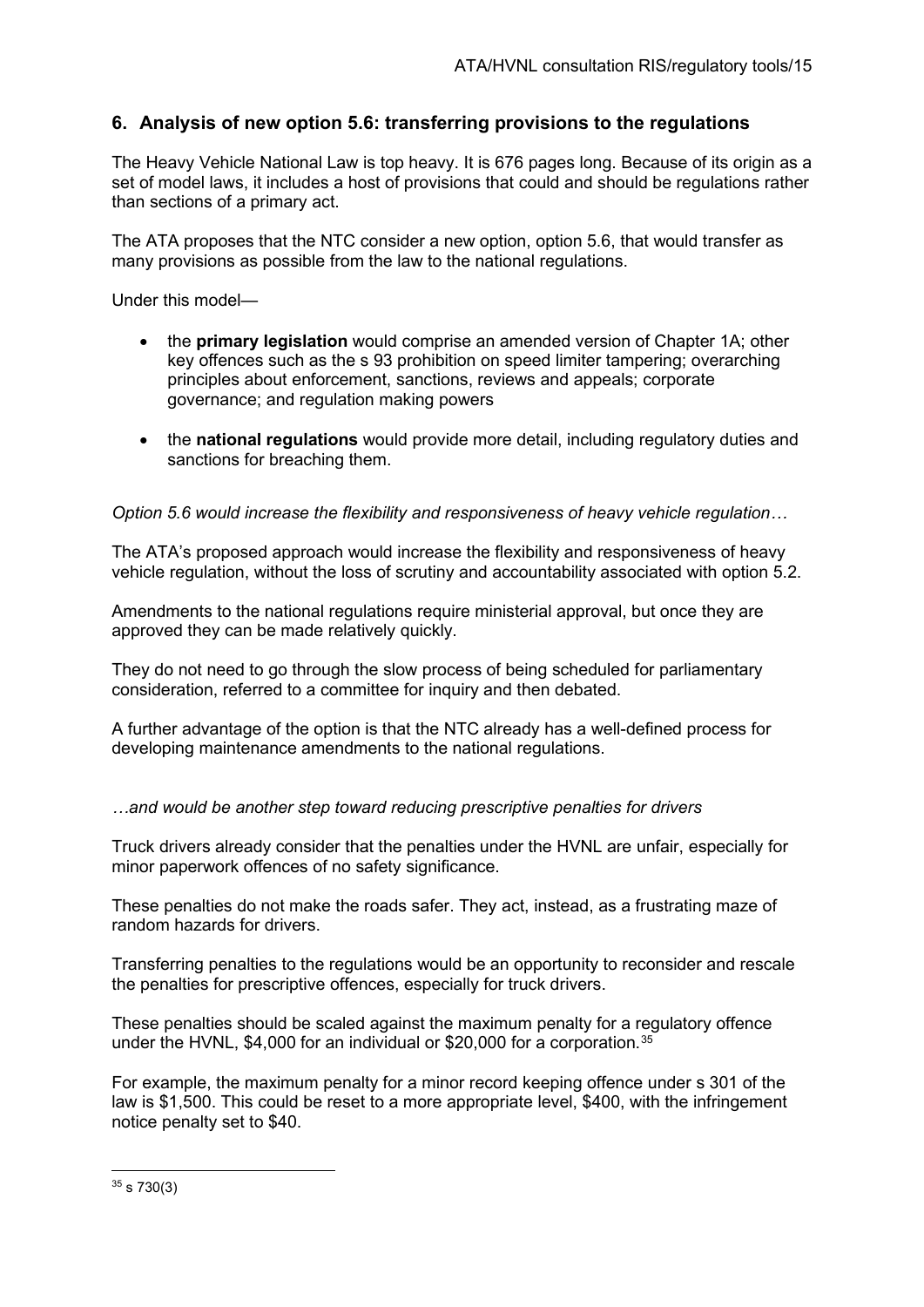# **6. Analysis of new option 5.6: transferring provisions to the regulations**

The Heavy Vehicle National Law is top heavy. It is 676 pages long. Because of its origin as a set of model laws, it includes a host of provisions that could and should be regulations rather than sections of a primary act.

The ATA proposes that the NTC consider a new option, option 5.6, that would transfer as many provisions as possible from the law to the national regulations.

Under this model—

- the **primary legislation** would comprise an amended version of Chapter 1A; other key offences such as the s 93 prohibition on speed limiter tampering; overarching principles about enforcement, sanctions, reviews and appeals; corporate governance; and regulation making powers
- the **national regulations** would provide more detail, including regulatory duties and sanctions for breaching them.

#### *Option 5.6 would increase the flexibility and responsiveness of heavy vehicle regulation…*

The ATA's proposed approach would increase the flexibility and responsiveness of heavy vehicle regulation, without the loss of scrutiny and accountability associated with option 5.2.

Amendments to the national regulations require ministerial approval, but once they are approved they can be made relatively quickly.

They do not need to go through the slow process of being scheduled for parliamentary consideration, referred to a committee for inquiry and then debated.

A further advantage of the option is that the NTC already has a well-defined process for developing maintenance amendments to the national regulations.

#### *…and would be another step toward reducing prescriptive penalties for drivers*

Truck drivers already consider that the penalties under the HVNL are unfair, especially for minor paperwork offences of no safety significance.

These penalties do not make the roads safer. They act, instead, as a frustrating maze of random hazards for drivers.

Transferring penalties to the regulations would be an opportunity to reconsider and rescale the penalties for prescriptive offences, especially for truck drivers.

These penalties should be scaled against the maximum penalty for a regulatory offence under the HVNL, \$4,000 for an individual or \$20,000 for a corporation.<sup>[35](#page-14-0)</sup>

For example, the maximum penalty for a minor record keeping offence under s 301 of the law is \$1,500. This could be reset to a more appropriate level, \$400, with the infringement notice penalty set to \$40.

<span id="page-14-0"></span> $35 \text{ s } 730(3)$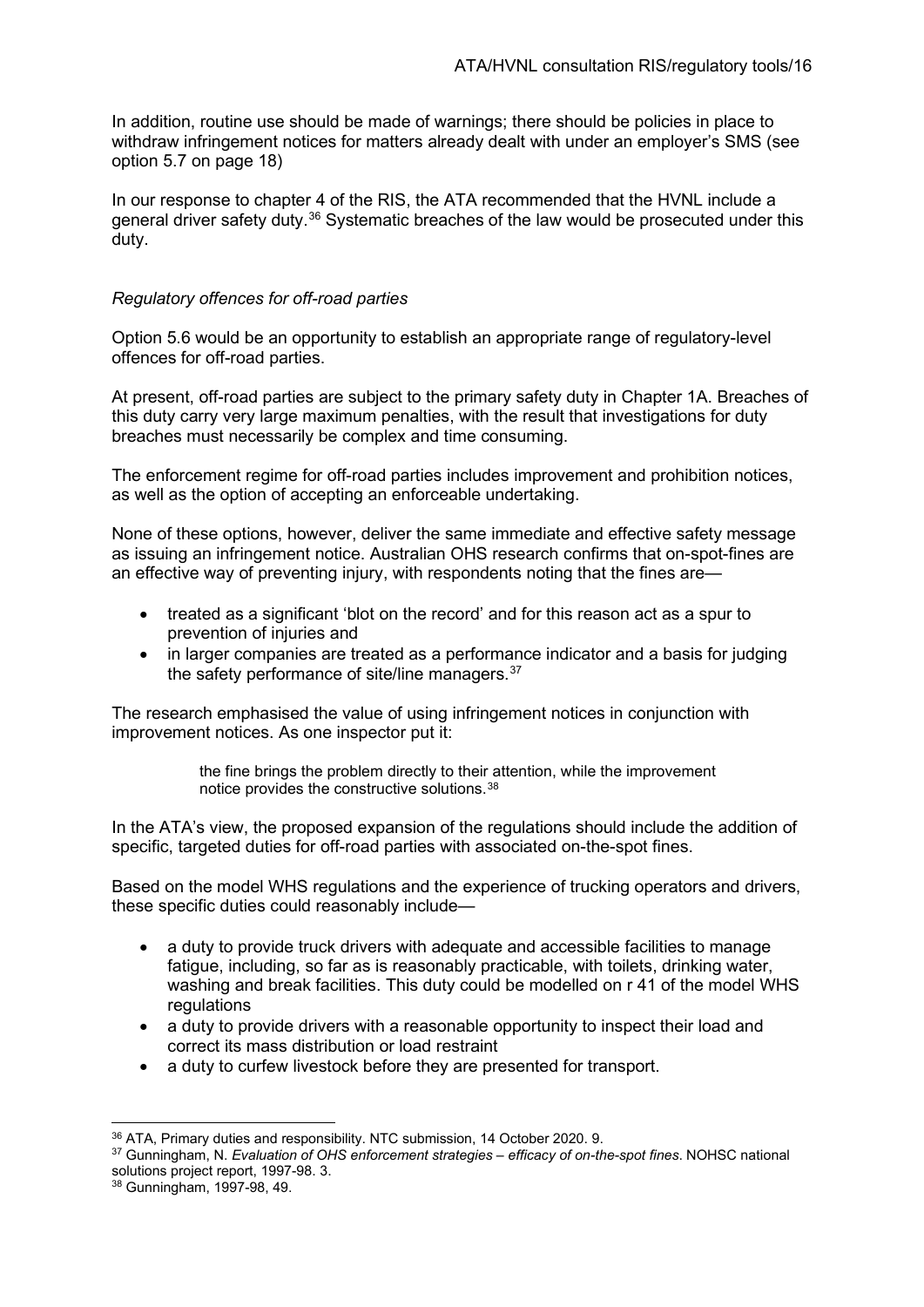In addition, routine use should be made of warnings; there should be policies in place to withdraw infringement notices for matters already dealt with under an employer's SMS (see option 5.7 on page [18\)](#page-17-0)

In our response to chapter 4 of the RIS, the ATA recommended that the HVNL include a general driver safety duty.<sup>[36](#page-15-0)</sup> Systematic breaches of the law would be prosecuted under this duty.

#### *Regulatory offences for off-road parties*

Option 5.6 would be an opportunity to establish an appropriate range of regulatory-level offences for off-road parties.

At present, off-road parties are subject to the primary safety duty in Chapter 1A. Breaches of this duty carry very large maximum penalties, with the result that investigations for duty breaches must necessarily be complex and time consuming.

The enforcement regime for off-road parties includes improvement and prohibition notices, as well as the option of accepting an enforceable undertaking.

None of these options, however, deliver the same immediate and effective safety message as issuing an infringement notice. Australian OHS research confirms that on-spot-fines are an effective way of preventing injury, with respondents noting that the fines are—

- treated as a significant 'blot on the record' and for this reason act as a spur to prevention of injuries and
- in larger companies are treated as a performance indicator and a basis for judging the safety performance of site/line managers.<sup>[37](#page-15-1)</sup>

The research emphasised the value of using infringement notices in conjunction with improvement notices. As one inspector put it:

> the fine brings the problem directly to their attention, while the improvement notice provides the constructive solutions.[38](#page-15-2)

In the ATA's view, the proposed expansion of the regulations should include the addition of specific, targeted duties for off-road parties with associated on-the-spot fines.

Based on the model WHS regulations and the experience of trucking operators and drivers, these specific duties could reasonably include—

- a duty to provide truck drivers with adequate and accessible facilities to manage fatigue, including, so far as is reasonably practicable, with toilets, drinking water, washing and break facilities. This duty could be modelled on r 41 of the model WHS regulations
- a duty to provide drivers with a reasonable opportunity to inspect their load and correct its mass distribution or load restraint
- a duty to curfew livestock before they are presented for transport.

<span id="page-15-0"></span><sup>36</sup> ATA, Primary duties and responsibility. NTC submission, 14 October 2020. 9.

<span id="page-15-1"></span><sup>37</sup> Gunningham, N. *Evaluation of OHS enforcement strategies – efficacy of on-the-spot fines*. NOHSC national solutions project report, 1997-98. 3.

<span id="page-15-2"></span><sup>38</sup> Gunningham, 1997-98, 49.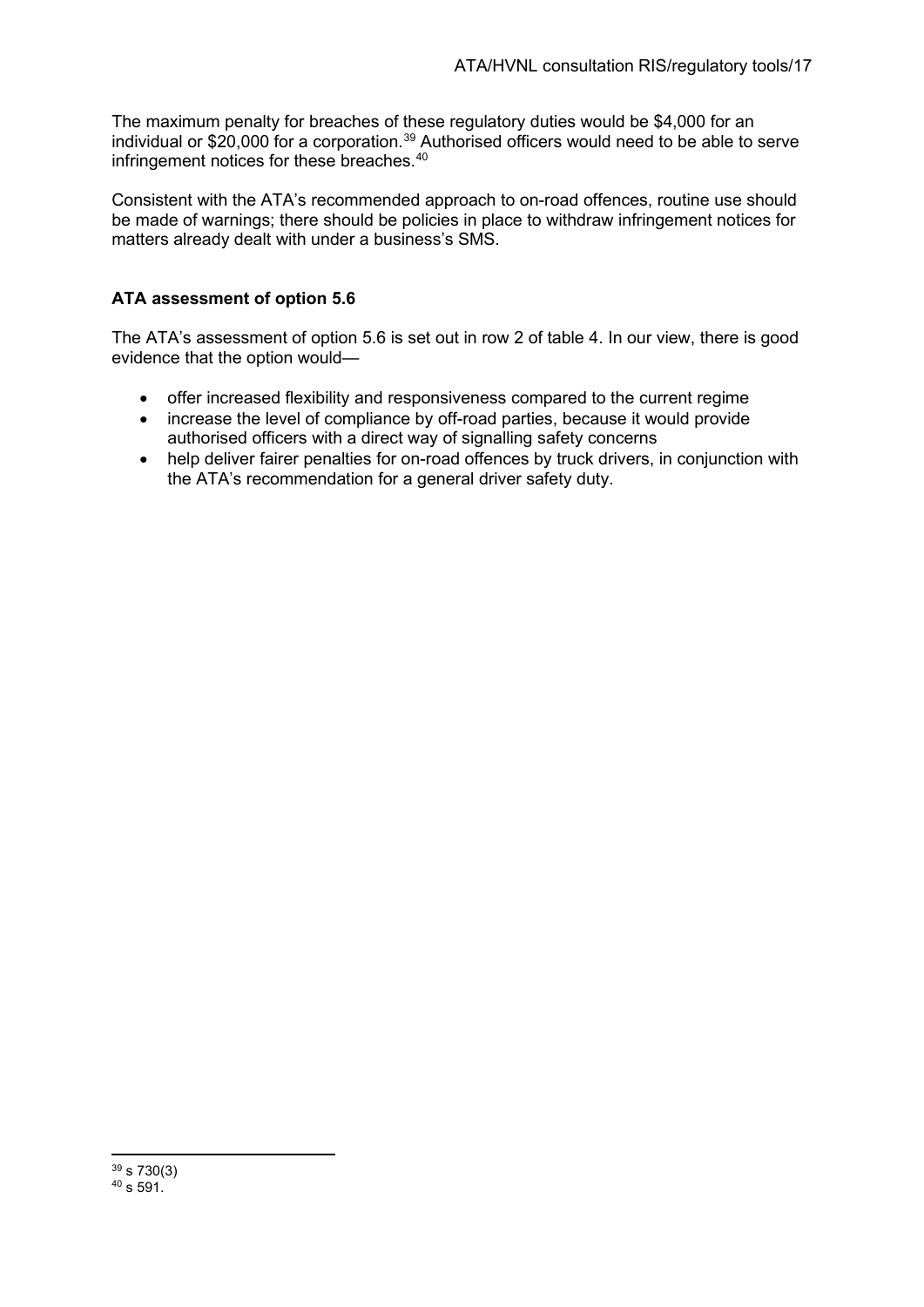The maximum penalty for breaches of these regulatory duties would be \$4,000 for an individual or \$20,000 for a corporation.<sup>[39](#page-16-0)</sup> Authorised officers would need to be able to serve infringement notices for these breaches.<sup>[40](#page-16-1)</sup>

Consistent with the ATA's recommended approach to on-road offences, routine use should be made of warnings; there should be policies in place to withdraw infringement notices for matters already dealt with under a business's SMS.

# **ATA assessment of option 5.6**

The ATA's assessment of option 5.6 is set out in row 2 of table 4. In our view, there is good evidence that the option would—

- offer increased flexibility and responsiveness compared to the current regime
- increase the level of compliance by off-road parties, because it would provide authorised officers with a direct way of signalling safety concerns
- help deliver fairer penalties for on-road offences by truck drivers, in conjunction with the ATA's recommendation for a general driver safety duty.

<span id="page-16-1"></span><span id="page-16-0"></span> $39 s 730(3)$  $40 \times 591$ .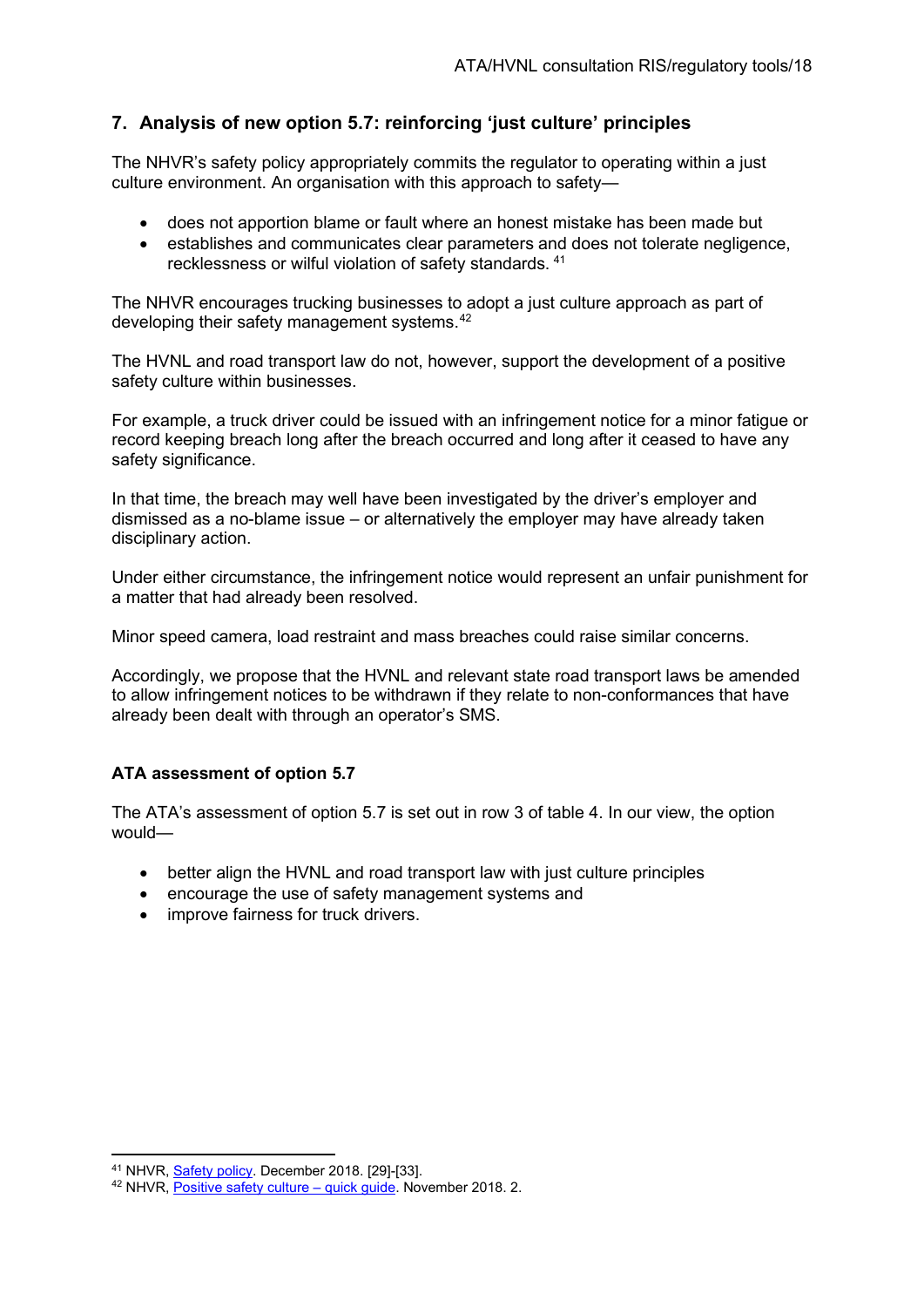# **7. Analysis of new option 5.7: reinforcing 'just culture' principles**

The NHVR's safety policy appropriately commits the regulator to operating within a just culture environment. An organisation with this approach to safety—

- <span id="page-17-0"></span>• does not apportion blame or fault where an honest mistake has been made but
- establishes and communicates clear parameters and does not tolerate negligence, recklessness or wilful violation of safety standards. [41](#page-17-1)

The NHVR encourages trucking businesses to adopt a just culture approach as part of developing their safety management systems.[42](#page-17-2)

The HVNL and road transport law do not, however, support the development of a positive safety culture within businesses.

For example, a truck driver could be issued with an infringement notice for a minor fatigue or record keeping breach long after the breach occurred and long after it ceased to have any safety significance.

In that time, the breach may well have been investigated by the driver's employer and dismissed as a no-blame issue – or alternatively the employer may have already taken disciplinary action.

Under either circumstance, the infringement notice would represent an unfair punishment for a matter that had already been resolved.

Minor speed camera, load restraint and mass breaches could raise similar concerns.

Accordingly, we propose that the HVNL and relevant state road transport laws be amended to allow infringement notices to be withdrawn if they relate to non-conformances that have already been dealt with through an operator's SMS.

# **ATA assessment of option 5.7**

The ATA's assessment of option 5.7 is set out in row 3 of table 4. In our view, the option would—

- better align the HVNL and road transport law with just culture principles
- encourage the use of safety management systems and
- improve fairness for truck drivers.

<span id="page-17-1"></span><sup>41</sup> NHVR[, Safety policy.](https://www.nhvr.gov.au/files/201901-0914-nhvr-safety-policy.pdf) December 2018. [29]-[33].

<span id="page-17-2"></span><sup>42</sup> NHVR[, Positive safety culture –](https://www.nhvr.gov.au/files/201811-0937-sms-quick-guide-positive-safety-culture.pdf) quick guide. November 2018. 2.